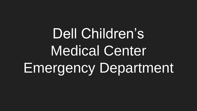Dell Children's Medical Center Emergency Department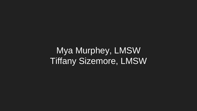Mya Murphey, LMSW Tiffany Sizemore, LMSW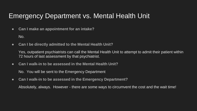#### Emergency Department vs. Mental Health Unit

● **Can I make an appointment for an intake?**

No.

● **Can I be directly admitted to the Mental Health Unit?**

Yes, outpatient psychiatrists can call the Mental Health Unit to attempt to admit their patient within 72 hours of last assessment by that psychiatrist.

● **Can I walk-in to be assessed in the Mental Health Unit?**

No. You will be sent to the Emergency Department

● **Can I walk-in to be assessed in the Emergency Department?**

Absolutely, always. However - there are some ways to circumvent the cost and the wait time!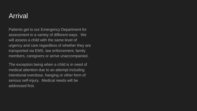#### Arrival

Patients get to our Emergency Department for assessment in a variety of different ways. We will assess a child with the same level of urgency and care regardless of whether they are transported via EMS, law enforcement, family members, caregivers or arrive unaccompanied.

The exception being when a child is in need of medical attention due to an attempt including intentional overdose, hanging or other form of serious self-injury. Medical needs will be addressed first.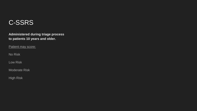#### C-SSRS

**Administered during triage process to patients 10 years and older.**

Patient may score:

No Risk

Low Risk

Moderate Risk

High Risk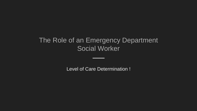#### The Role of an Emergency Department Social Worker

Level of Care Determination !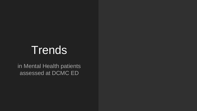# **Trends**

in Mental Health patients assessed at DCMC ED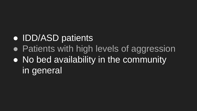## • IDD/ASD patients

- Patients with high levels of aggression
- No bed availability in the community in general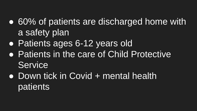- 60% of patients are discharged home with a safety plan
- Patients ages 6-12 years old
- Patients in the care of Child Protective **Service**
- Down tick in Covid + mental health patients